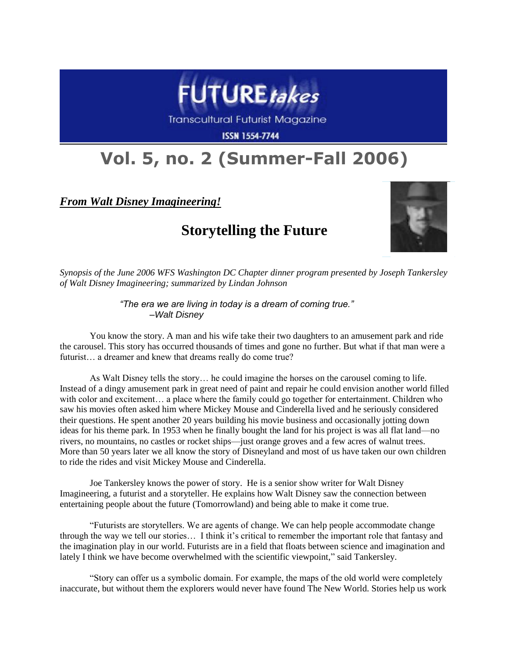

**Transcultural Futurist Magazine** 

**ISSN 1554-7744** 

## **Vol. 5, no. 2 (Summer-Fall 2006)**

*From Walt Disney Imagineering!*

## **Storytelling the Future**



*Synopsis of the June 2006 WFS Washington DC Chapter dinner program presented by Joseph Tankersley of Walt Disney Imagineering; summarized by Lindan Johnson*

> *"The era we are living in today is a dream of coming true." –Walt Disney*

You know the story. A man and his wife take their two daughters to an amusement park and ride the carousel. This story has occurred thousands of times and gone no further. But what if that man were a futurist... a dreamer and knew that dreams really do come true?

As Walt Disney tells the story… he could imagine the horses on the carousel coming to life. Instead of a dingy amusement park in great need of paint and repair he could envision another world filled with color and excitement… a place where the family could go together for entertainment. Children who saw his movies often asked him where Mickey Mouse and Cinderella lived and he seriously considered their questions. He spent another 20 years building his movie business and occasionally jotting down ideas for his theme park. In 1953 when he finally bought the land for his project is was all flat land—no rivers, no mountains, no castles or rocket ships—just orange groves and a few acres of walnut trees. More than 50 years later we all know the story of Disneyland and most of us have taken our own children to ride the rides and visit Mickey Mouse and Cinderella.

Joe Tankersley knows the power of story. He is a senior show writer for Walt Disney Imagineering, a futurist and a storyteller. He explains how Walt Disney saw the connection between entertaining people about the future (Tomorrowland) and being able to make it come true.

"Futurists are storytellers. We are agents of change. We can help people accommodate change through the way we tell our stories... I think it's critical to remember the important role that fantasy and the imagination play in our world. Futurists are in a field that floats between science and imagination and lately I think we have become overwhelmed with the scientific viewpoint," said Tankersley.

"Story can offer us a symbolic domain. For example, the maps of the old world were completely inaccurate, but without them the explorers would never have found The New World. Stories help us work